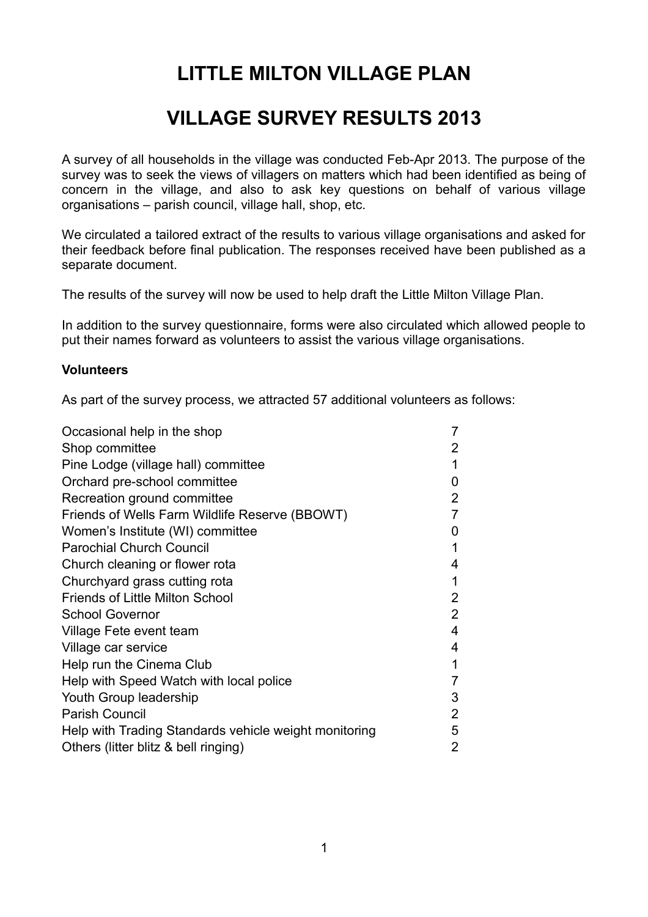# **LITTLE MILTON VILLAGE PLAN**

# **VILLAGE SURVEY RESULTS 2013**

A survey of all households in the village was conducted Feb-Apr 2013. The purpose of the survey was to seek the views of villagers on matters which had been identified as being of concern in the village, and also to ask key questions on behalf of various village organisations – parish council, village hall, shop, etc.

We circulated a tailored extract of the results to various village organisations and asked for their feedback before final publication. The responses received have been published as a separate document.

The results of the survey will now be used to help draft the Little Milton Village Plan.

In addition to the survey questionnaire, forms were also circulated which allowed people to put their names forward as volunteers to assist the various village organisations.

### **Volunteers**

As part of the survey process, we attracted 57 additional volunteers as follows:

| Occasional help in the shop                           | 7              |
|-------------------------------------------------------|----------------|
| Shop committee                                        | $\overline{2}$ |
| Pine Lodge (village hall) committee                   | 1              |
| Orchard pre-school committee                          | 0              |
| Recreation ground committee                           | $\overline{2}$ |
| Friends of Wells Farm Wildlife Reserve (BBOWT)        | 7              |
| Women's Institute (WI) committee                      | 0              |
| <b>Parochial Church Council</b>                       | 1              |
| Church cleaning or flower rota                        | 4              |
| Churchyard grass cutting rota                         | 1              |
| <b>Friends of Little Milton School</b>                | $\overline{2}$ |
| <b>School Governor</b>                                | $\overline{2}$ |
| Village Fete event team                               | 4              |
| Village car service                                   | 4              |
| Help run the Cinema Club                              | 1              |
| Help with Speed Watch with local police               | $\overline{7}$ |
| Youth Group leadership                                | 3              |
| <b>Parish Council</b>                                 | $\overline{2}$ |
| Help with Trading Standards vehicle weight monitoring | 5              |
| Others (litter blitz & bell ringing)                  | 2              |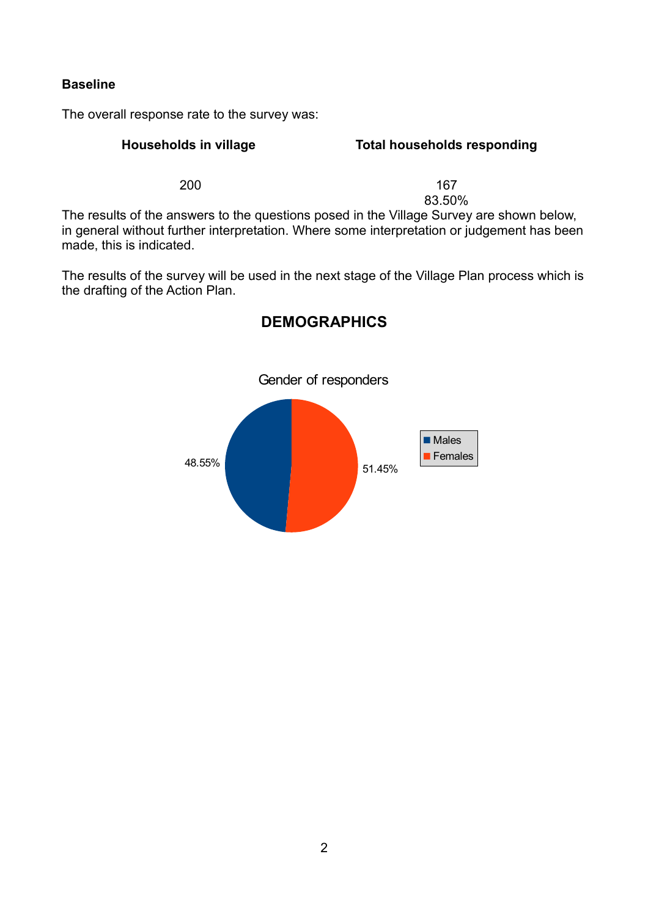### **Baseline**

The overall response rate to the survey was:

### **Households in village Total households responding**

200 **167** 83.50%

The results of the answers to the questions posed in the Village Survey are shown below, in general without further interpretation. Where some interpretation or judgement has been made, this is indicated.

The results of the survey will be used in the next stage of the Village Plan process which is the drafting of the Action Plan.



## **DEMOGRAPHICS**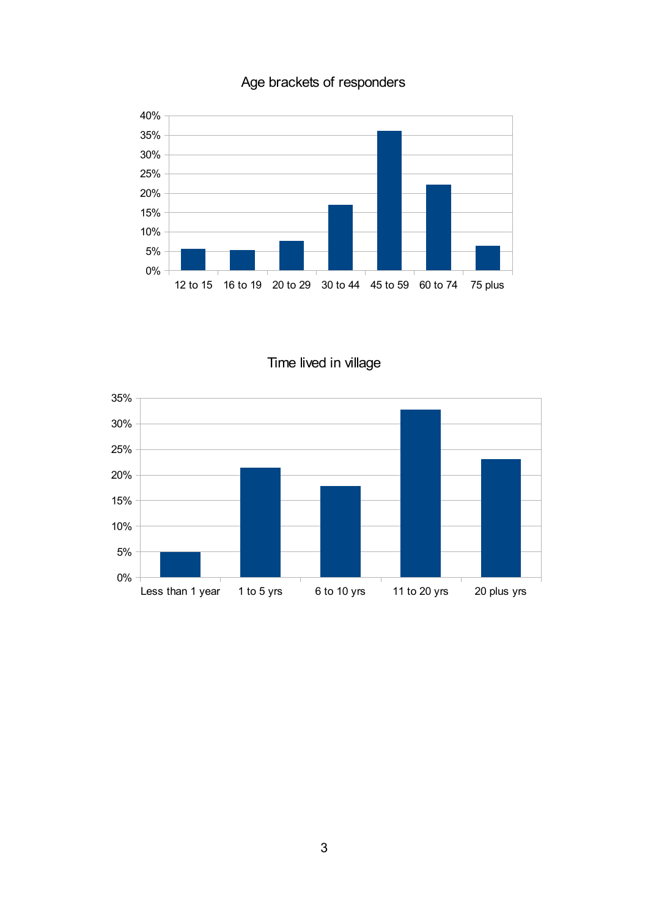

## Age brackets of responders

Time lived in village

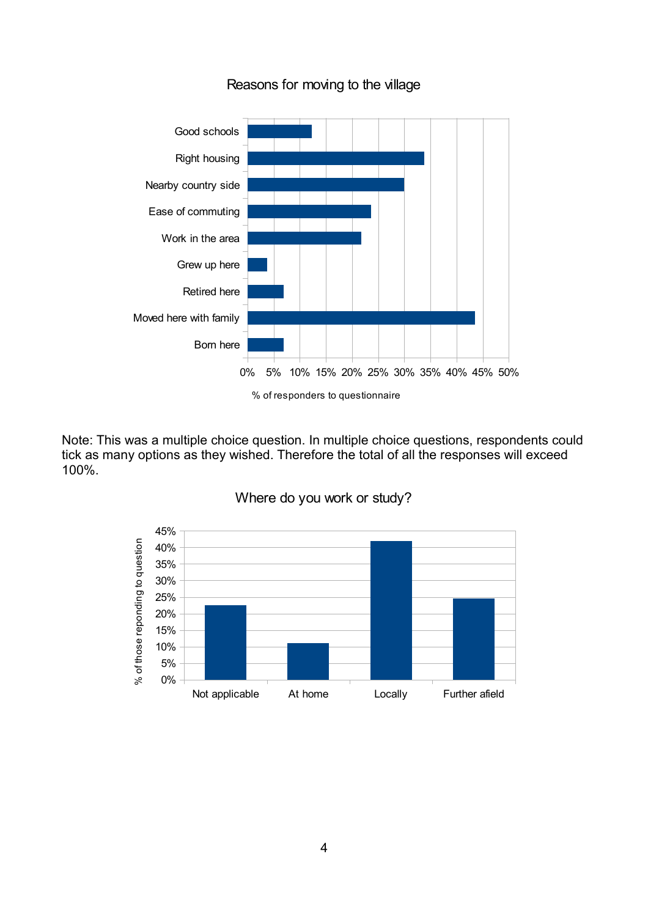

Reasons for moving to the village

Note: This was a multiple choice question. In multiple choice questions, respondents could tick as many options as they wished. Therefore the total of all the responses will exceed 100%.



Where do you work or study?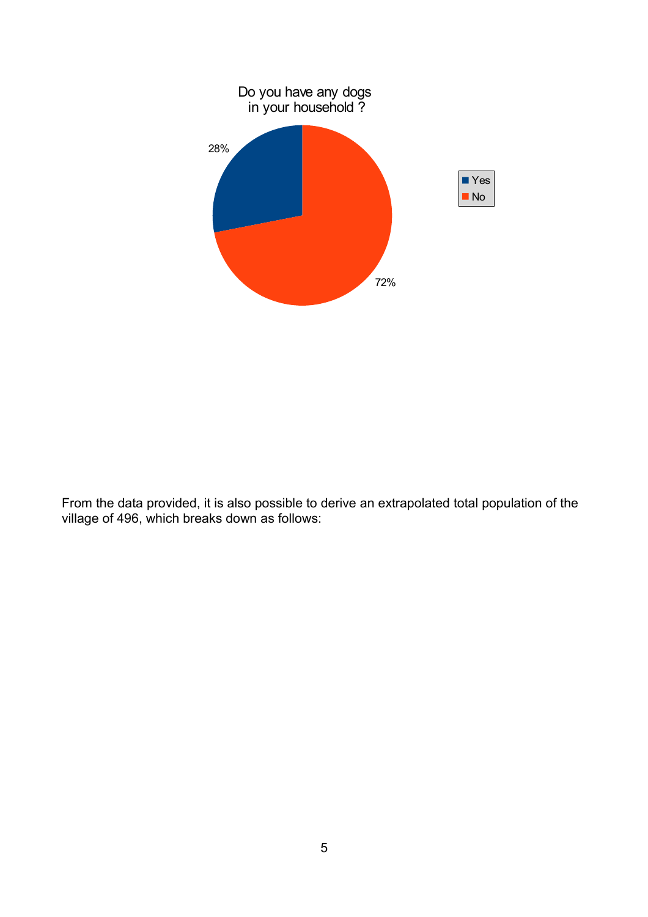

From the data provided, it is also possible to derive an extrapolated total population of the village of 496, which breaks down as follows: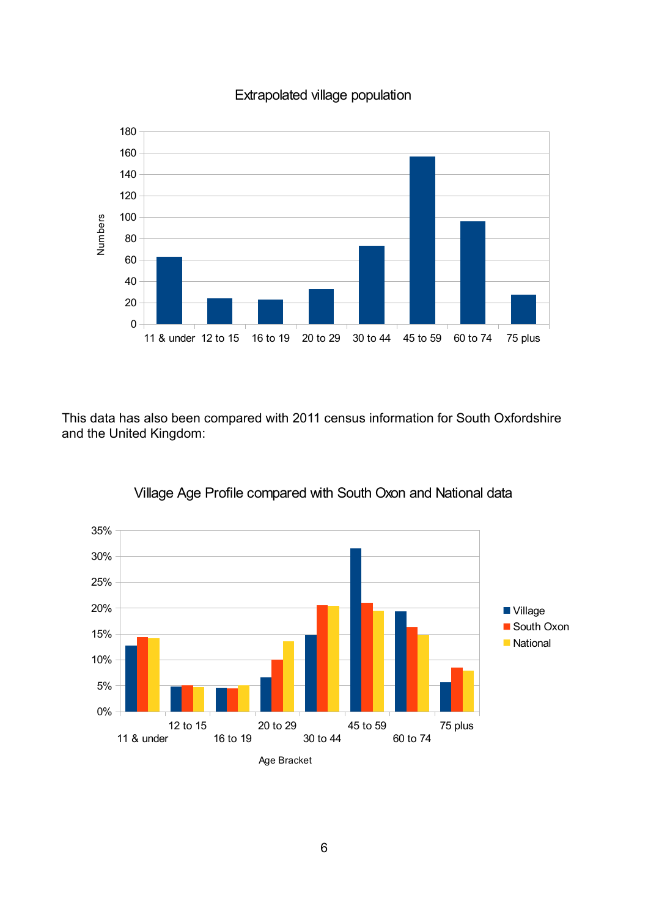



This data has also been compared with 2011 census information for South Oxfordshire and the United Kingdom:



Village Age Profile compared with South Oxon and National data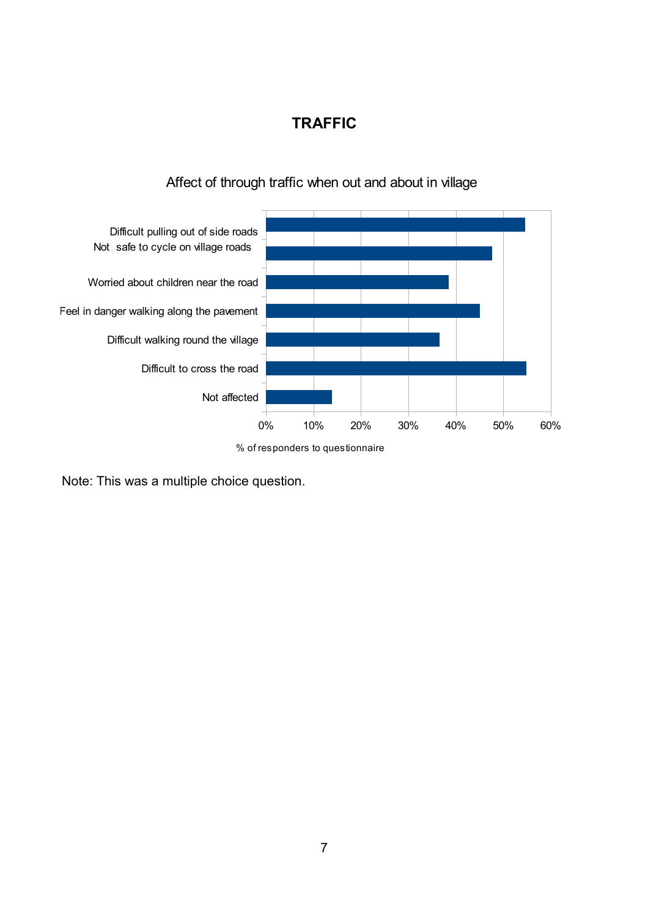## **TRAFFIC**



## Affect of through traffic when out and about in village

% of responders to questionnaire

Note: This was a multiple choice question.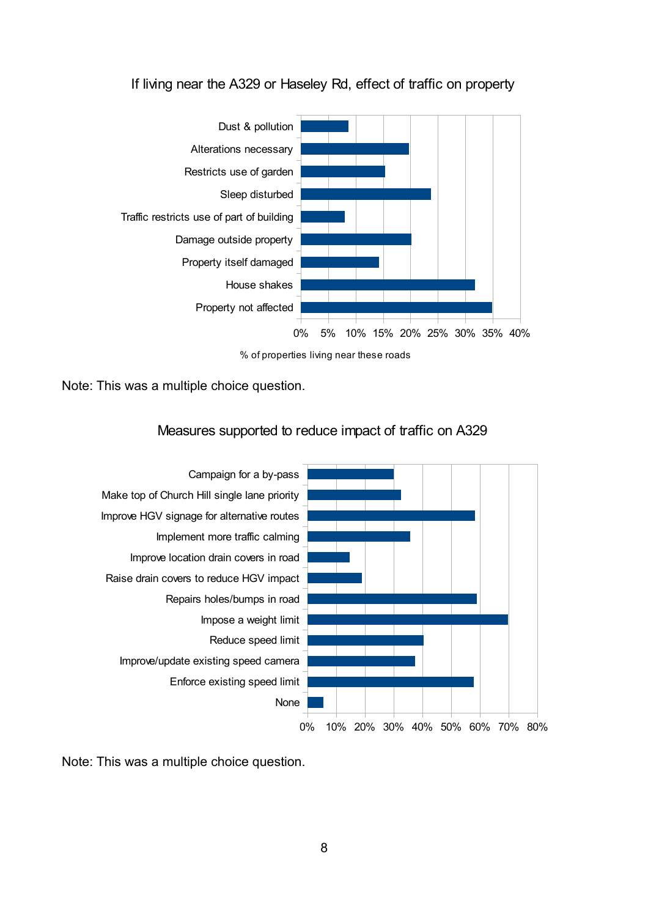### If living near the A329 or Haseley Rd, effect of traffic on property



% of properties living near these roads

Note: This was a multiple choice question.

#### Measures supported to reduce impact of traffic on A329



Note: This was a multiple choice question.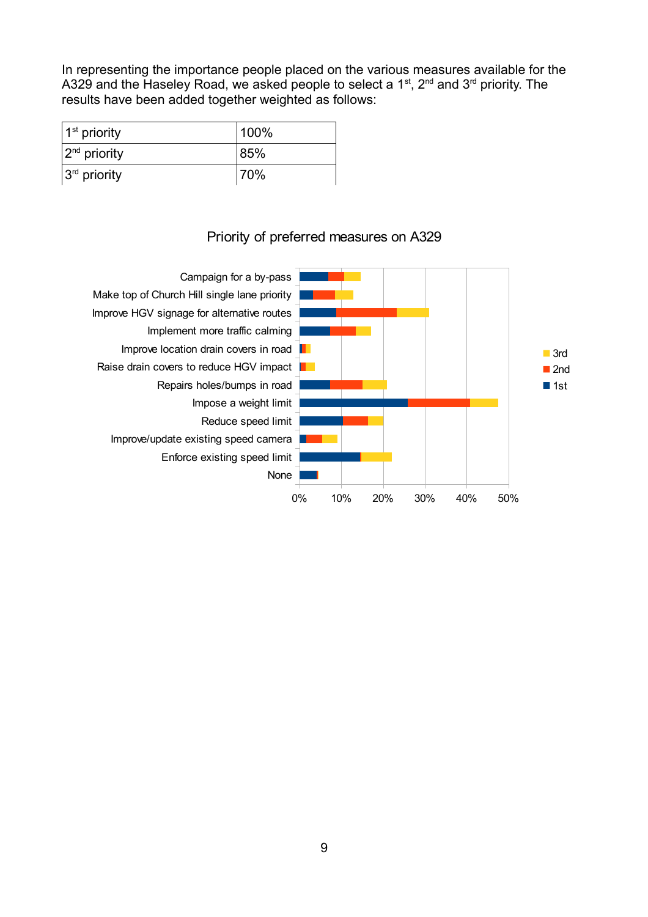In representing the importance people placed on the various measures available for the A329 and the Haseley Road, we asked people to select a 1<sup>st</sup>, 2<sup>nd</sup> and 3<sup>rd</sup> priority. The results have been added together weighted as follows:

| $1st$ priority     | 100% |
|--------------------|------|
| $ 2^{nd}$ priority | 185% |
| $3rd$ priority     | 70%  |

## Priority of preferred measures on A329

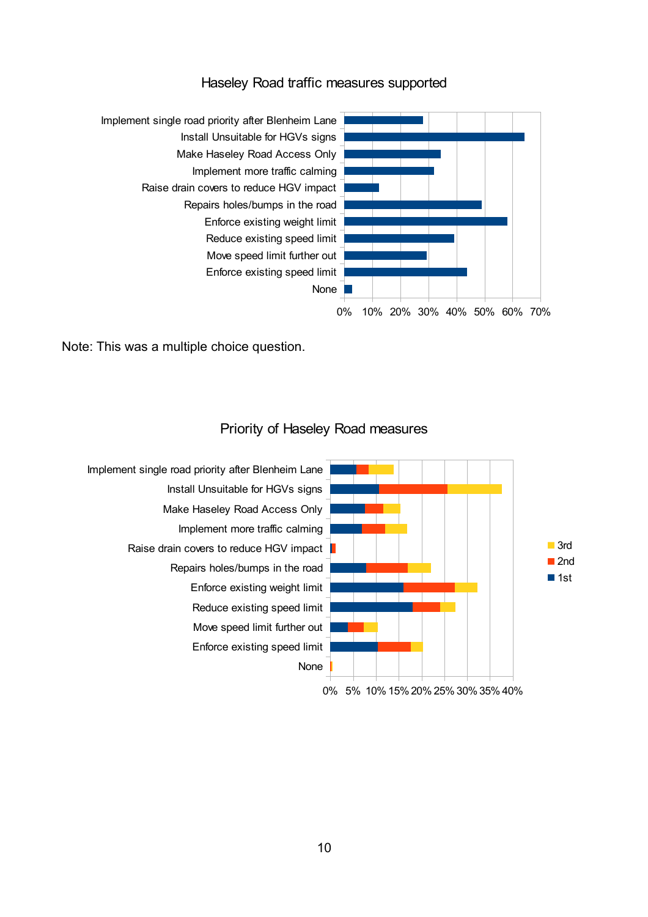#### Haseley Road traffic measures supported



Note: This was a multiple choice question.



#### Priority of Haseley Road measures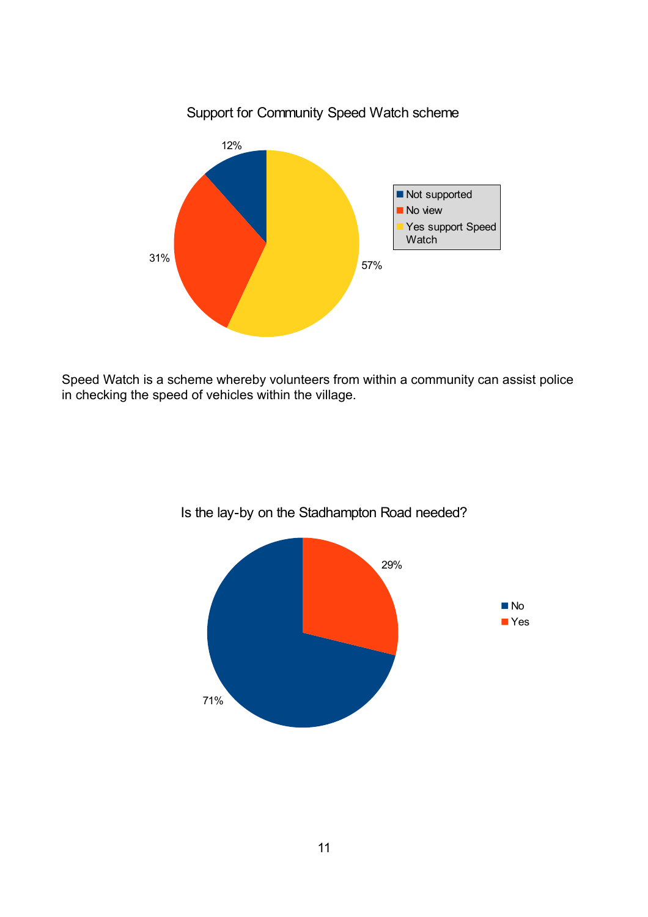

Speed Watch is a scheme whereby volunteers from within a community can assist police in checking the speed of vehicles within the village.



Is the lay-by on the Stadhampton Road needed?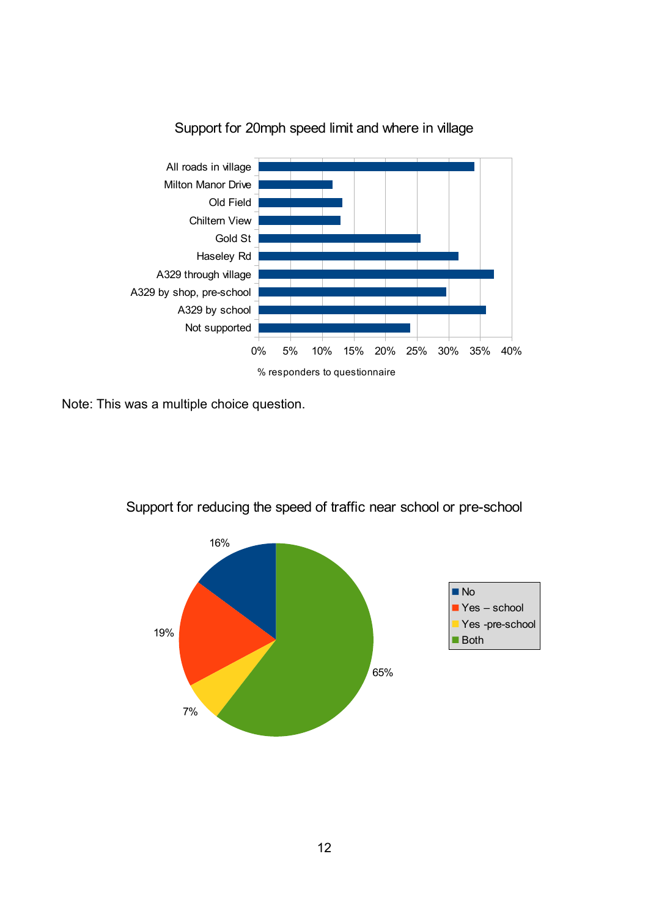

Support for 20mph speed limit and where in village

Note: This was a multiple choice question.



Support for reducing the speed of traffic near school or pre-school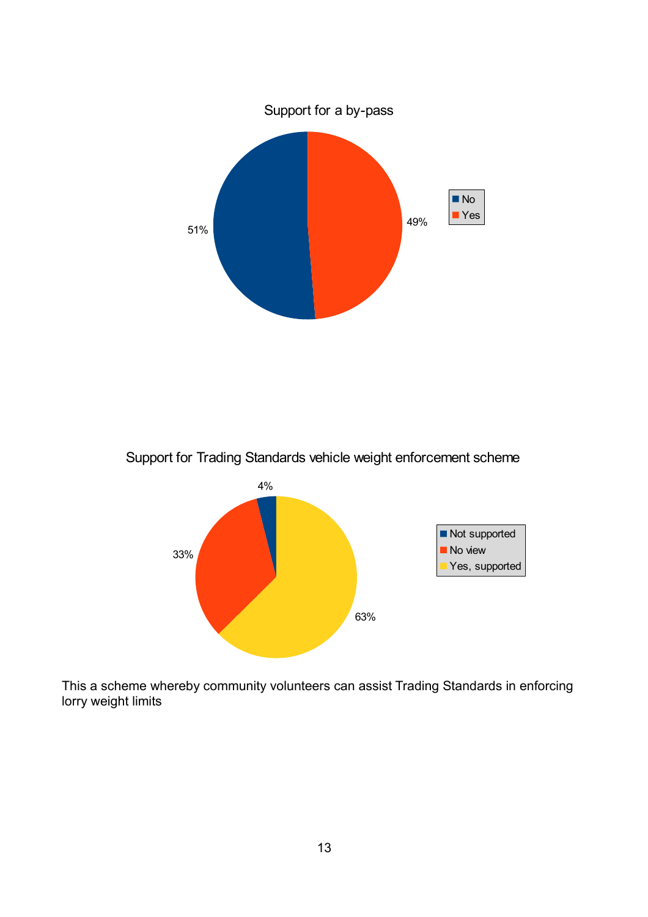

Support for Trading Standards vehicle weight enforcement scheme



This a scheme whereby community volunteers can assist Trading Standards in enforcing lorry weight limits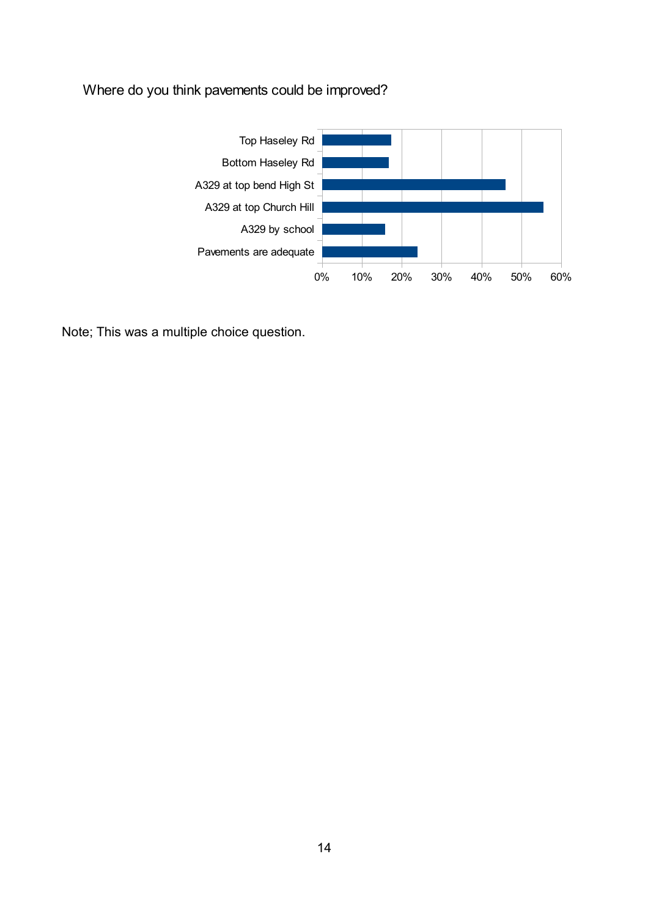## Where do you think pavements could be improved?



Note; This was a multiple choice question.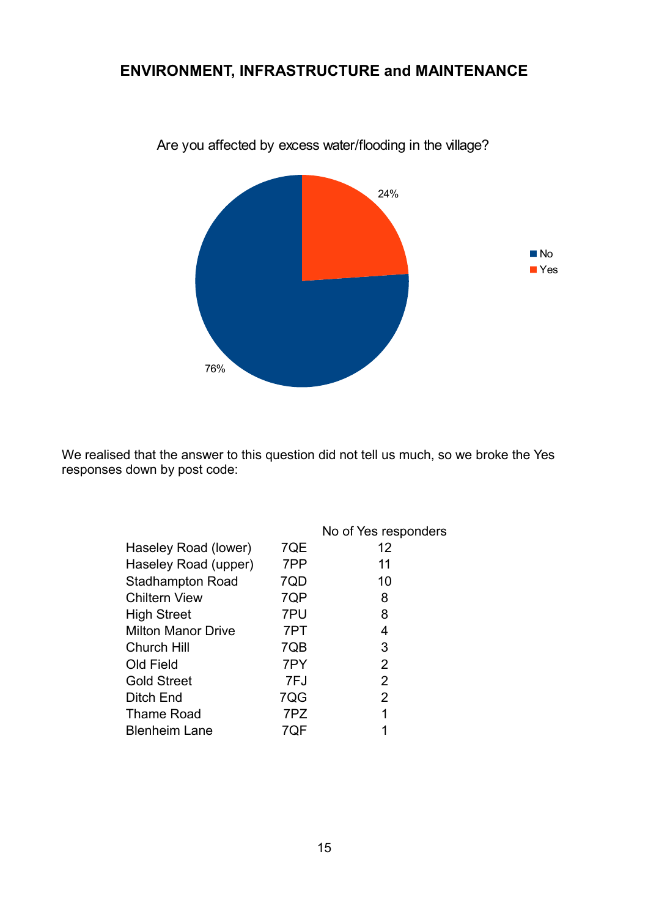## **ENVIRONMENT, INFRASTRUCTURE and MAINTENANCE**



Are you affected by excess water/flooding in the village?

We realised that the answer to this question did not tell us much, so we broke the Yes responses down by post code:

|                           |     | No of Yes responders |
|---------------------------|-----|----------------------|
| Haseley Road (lower)      | 7QE | 12                   |
| Haseley Road (upper)      | 7PP | 11                   |
| <b>Stadhampton Road</b>   | 7QD | 10                   |
| <b>Chiltern View</b>      | 7QP | 8                    |
| <b>High Street</b>        | 7PU | 8                    |
| <b>Milton Manor Drive</b> | 7PT | 4                    |
| <b>Church Hill</b>        | 7QB | 3                    |
| Old Field                 | 7PY | 2                    |
| <b>Gold Street</b>        | 7FJ | 2                    |
| Ditch End                 | 7QG | 2                    |
| <b>Thame Road</b>         | 7PZ | 1                    |
| <b>Blenheim Lane</b>      | 7QF |                      |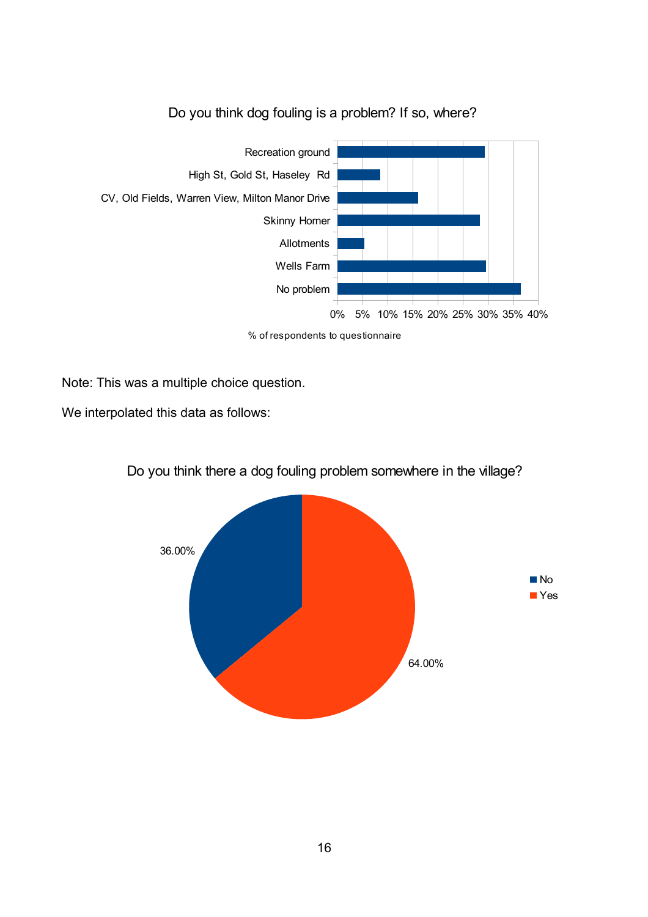

## Do you think dog fouling is a problem? If so, where?

% of respondents to questionnaire

Note: This was a multiple choice question.

We interpolated this data as follows:



### Do you think there a dog fouling problem somewhere in the village?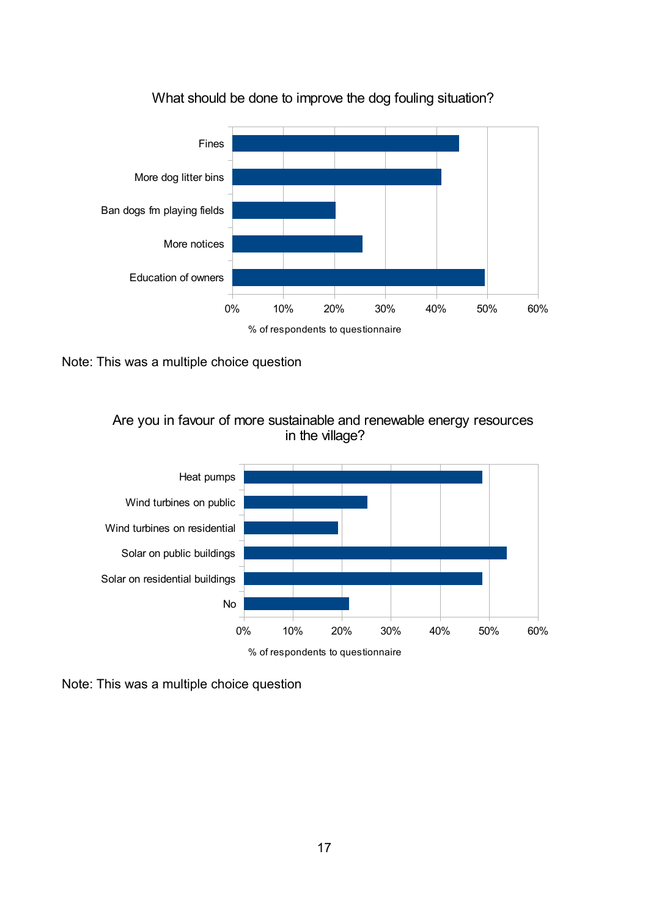

### What should be done to improve the dog fouling situation?

Note: This was a multiple choice question





Note: This was a multiple choice question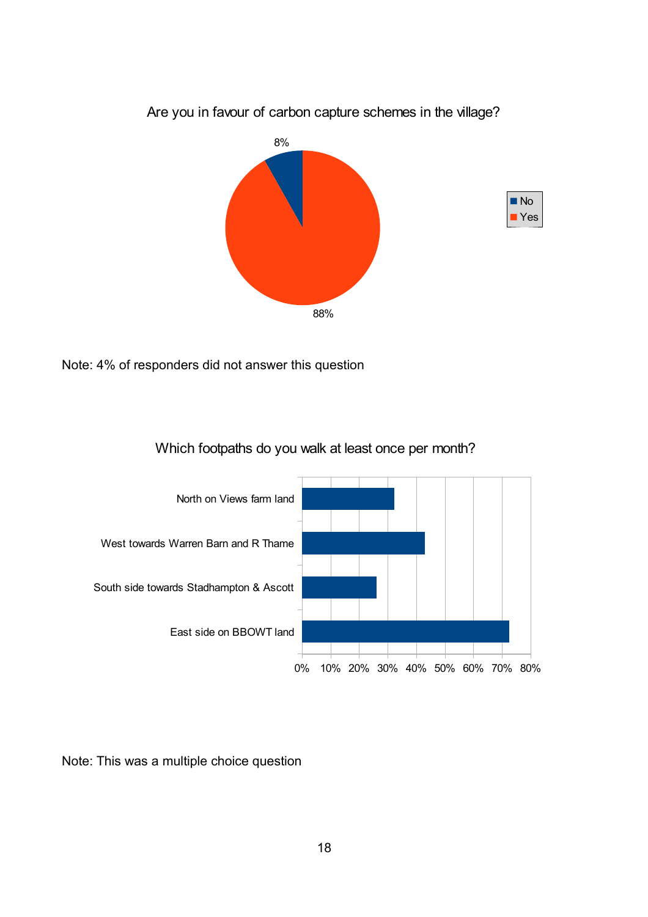

Are you in favour of carbon capture schemes in the village?

Note: 4% of responders did not answer this question





Note: This was a multiple choice question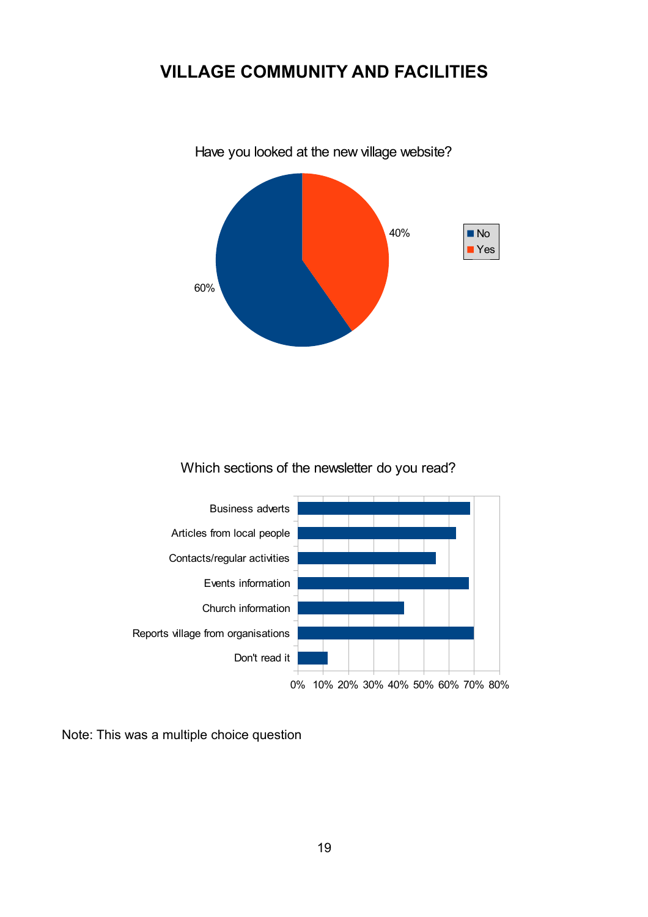## **VILLAGE COMMUNITY AND FACILITIES**



Have you looked at the new village website?

Which sections of the newsletter do you read?



Note: This was a multiple choice question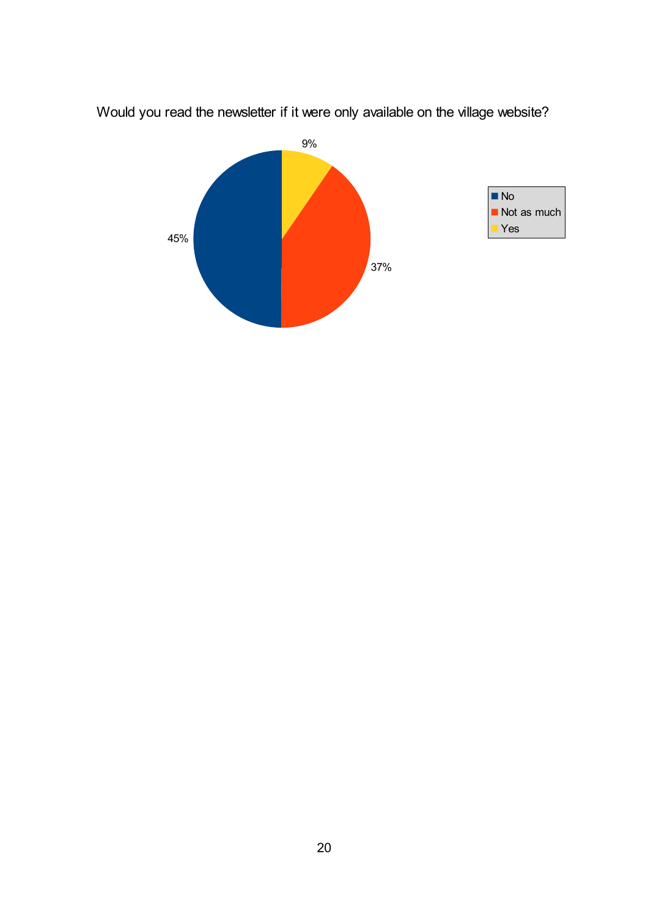

Would you read the newsletter if it were only available on the village website?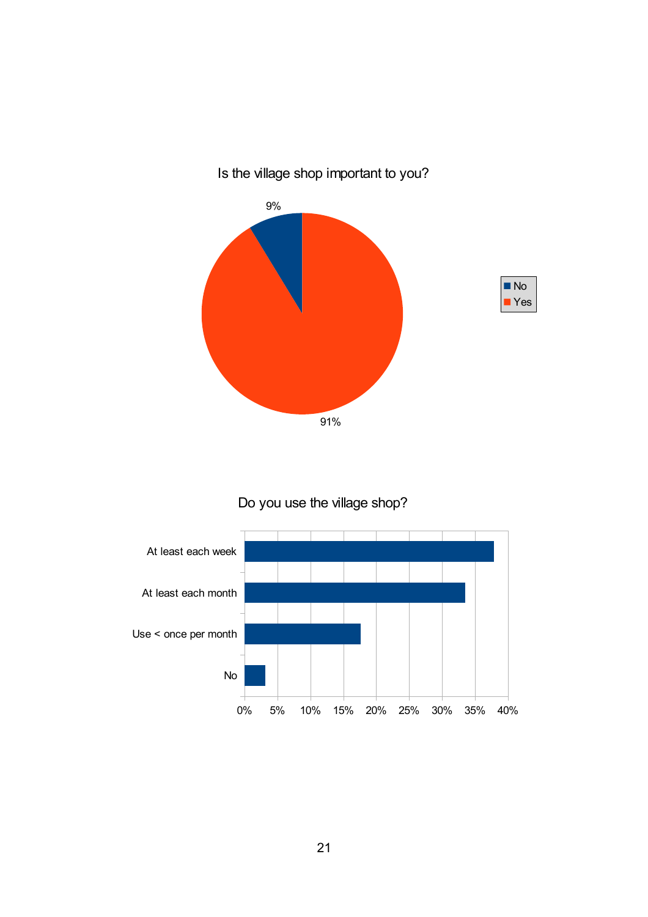

## Is the village shop important to you?

## Do you use the village shop?

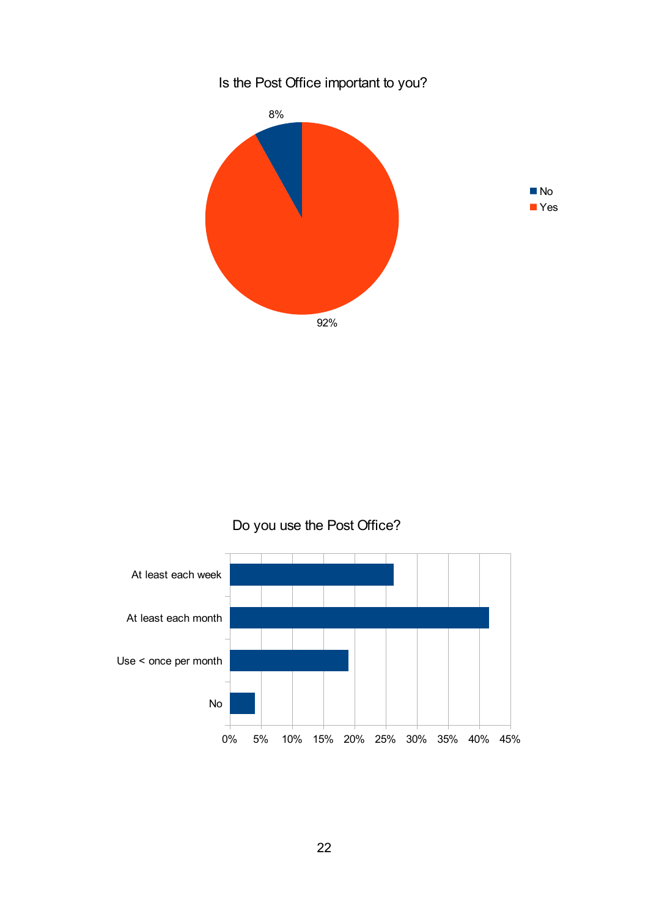

## Do you use the Post Office?

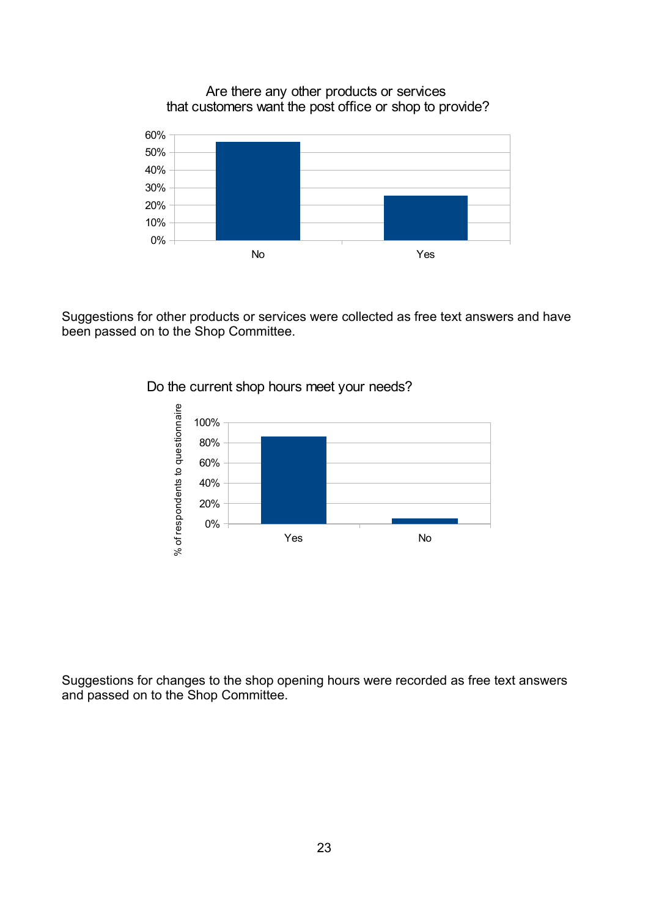Are there any other products or services that customers want the post office or shop to provide?



Suggestions for other products or services were collected as free text answers and have been passed on to the Shop Committee.



Do the current shop hours meet your needs?

Suggestions for changes to the shop opening hours were recorded as free text answers and passed on to the Shop Committee.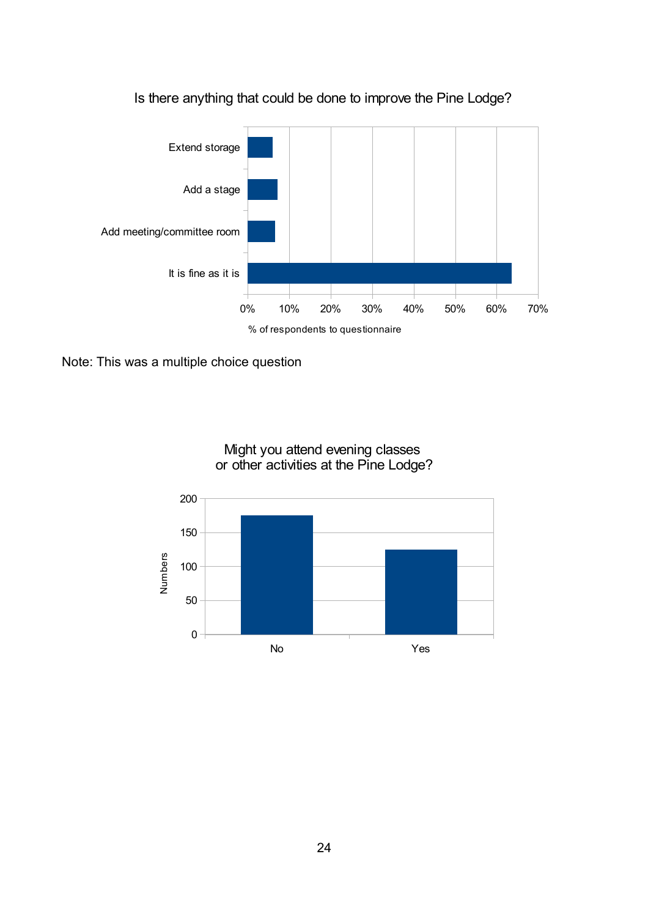

Is there anything that could be done to improve the Pine Lodge?

Note: This was a multiple choice question



Might you attend evening classes or other activities at the Pine Lodge?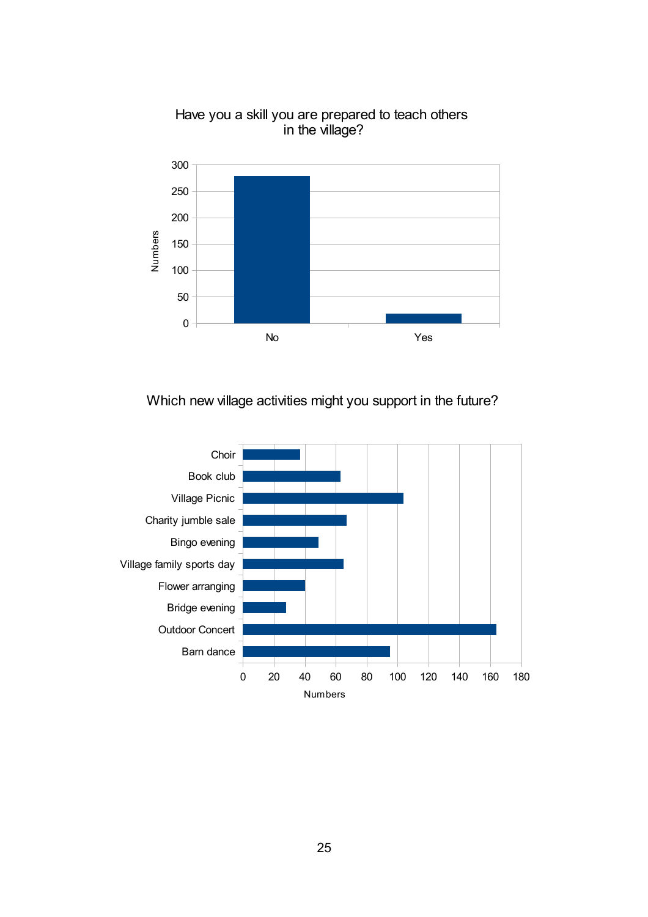

Have you a skill you are prepared to teach others in the village?

## Which new village activities might you support in the future?

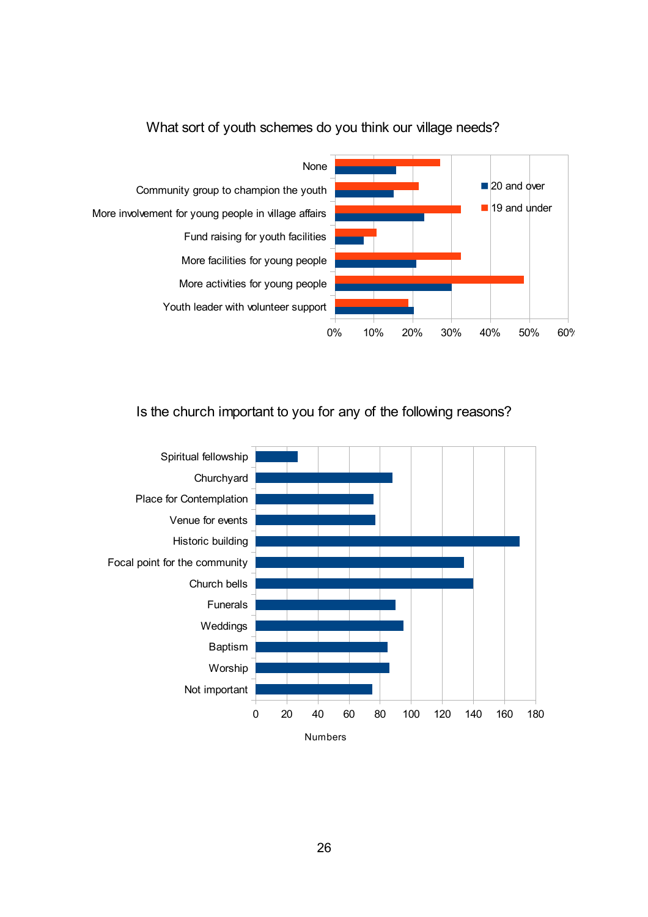

## What sort of youth schemes do you think our village needs?

Is the church important to you for any of the following reasons?

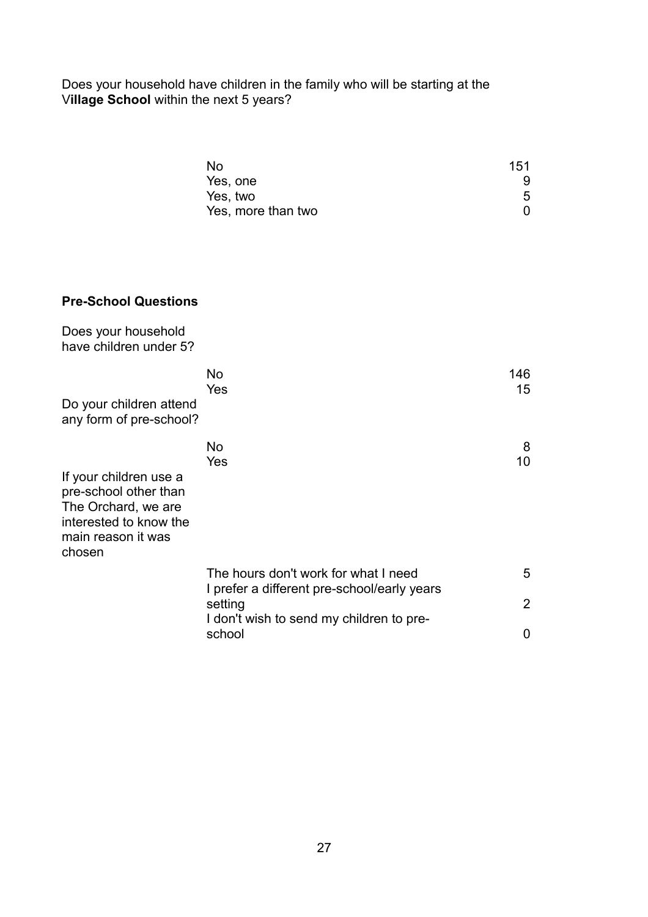Does your household have children in the family who will be starting at the V**illage School** within the next 5 years?

| No.                | 151 |
|--------------------|-----|
| Yes, one           |     |
| Yes, two           | 5   |
| Yes, more than two |     |

## **Pre-School Questions**

| Does your household<br>have children under 5?                                                                                    |                                                                                     |           |
|----------------------------------------------------------------------------------------------------------------------------------|-------------------------------------------------------------------------------------|-----------|
| Do your children attend<br>any form of pre-school?                                                                               | No<br>Yes                                                                           | 146<br>15 |
| If your children use a<br>pre-school other than<br>The Orchard, we are<br>interested to know the<br>main reason it was<br>chosen | No<br>Yes                                                                           | 8<br>10   |
|                                                                                                                                  | The hours don't work for what I need<br>I prefer a different pre-school/early years | 5         |
|                                                                                                                                  | setting                                                                             | 2         |
|                                                                                                                                  | I don't wish to send my children to pre-<br>school                                  | 0         |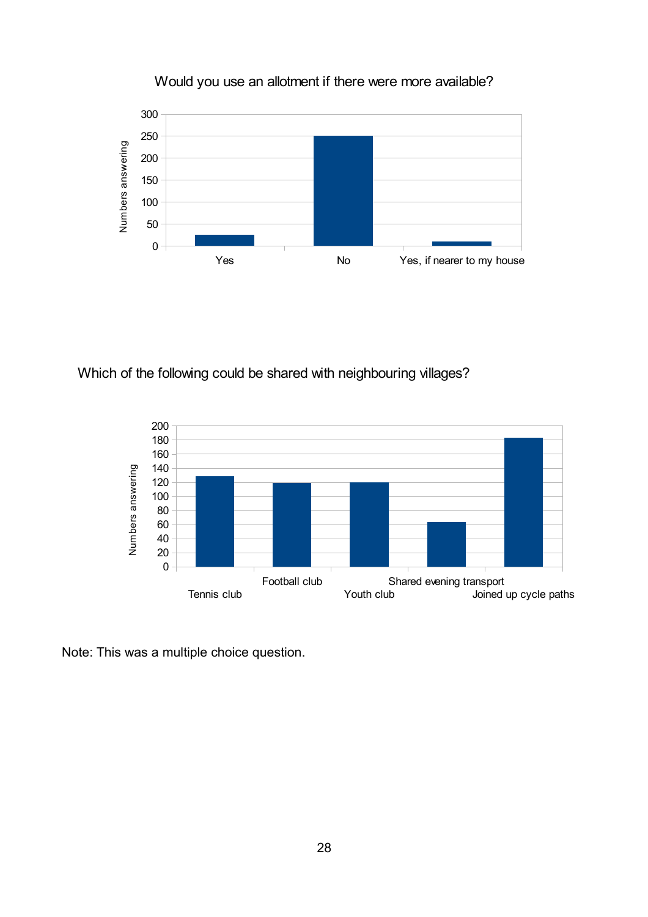

Would you use an allotment if there were more available?

Which of the following could be shared with neighbouring villages?



Note: This was a multiple choice question.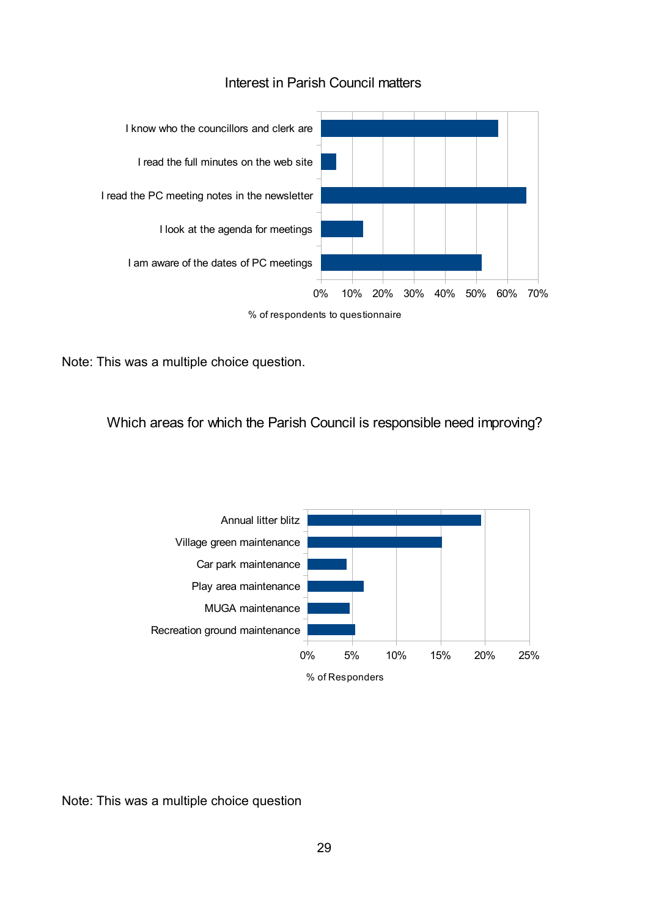

#### Interest in Parish Council matters

Note: This was a multiple choice question.

Which areas for which the Parish Council is responsible need improving?



Note: This was a multiple choice question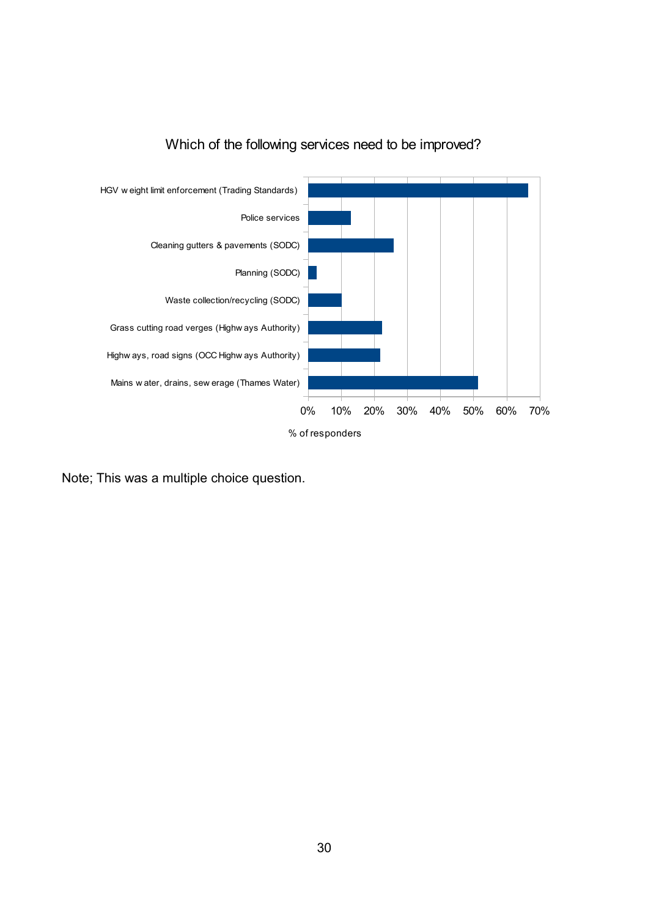

## Which of the following services need to be improved?

Note; This was a multiple choice question.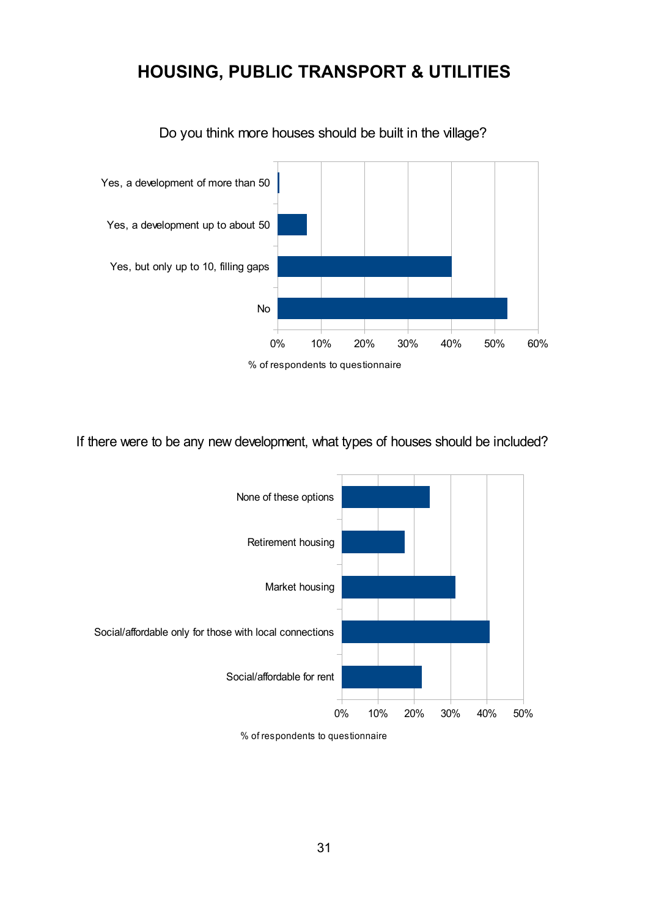## **HOUSING, PUBLIC TRANSPORT & UTILITIES**



Do you think more houses should be built in the village?

If there were to be any new development, what types of houses should be included?



% of respondents to questionnaire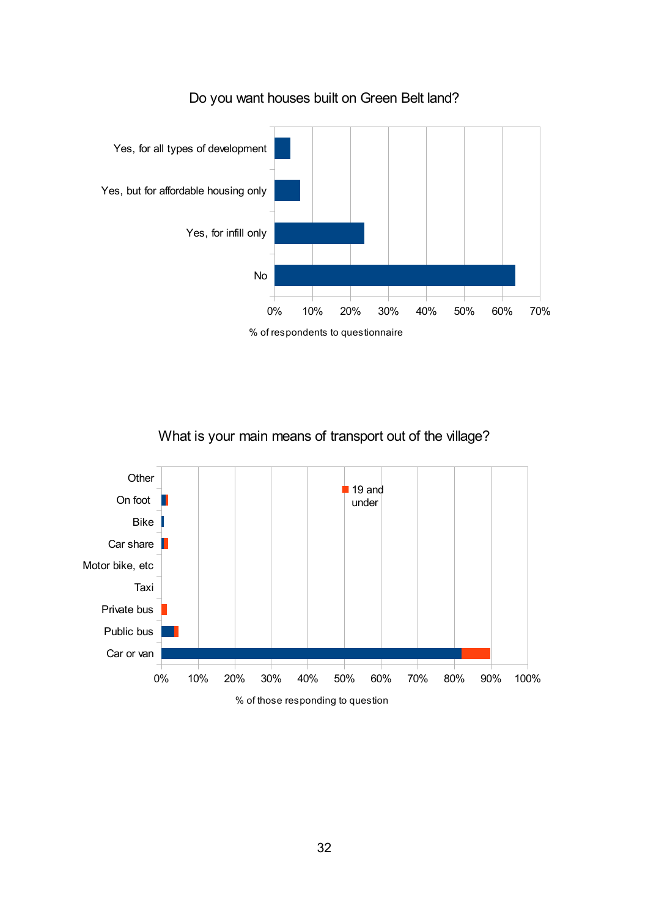

## Do you want houses built on Green Belt land?

What is your main means of transport out of the village?

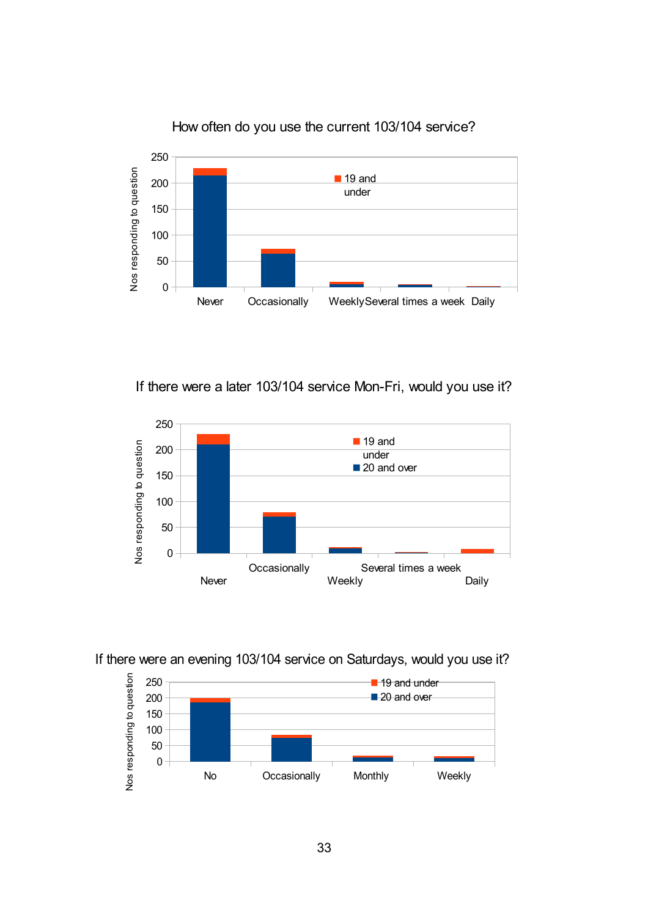

How often do you use the current 103/104 service?

If there were a later 103/104 service Mon-Fri, would you use it?



If there were an evening 103/104 service on Saturdays, would you use it?

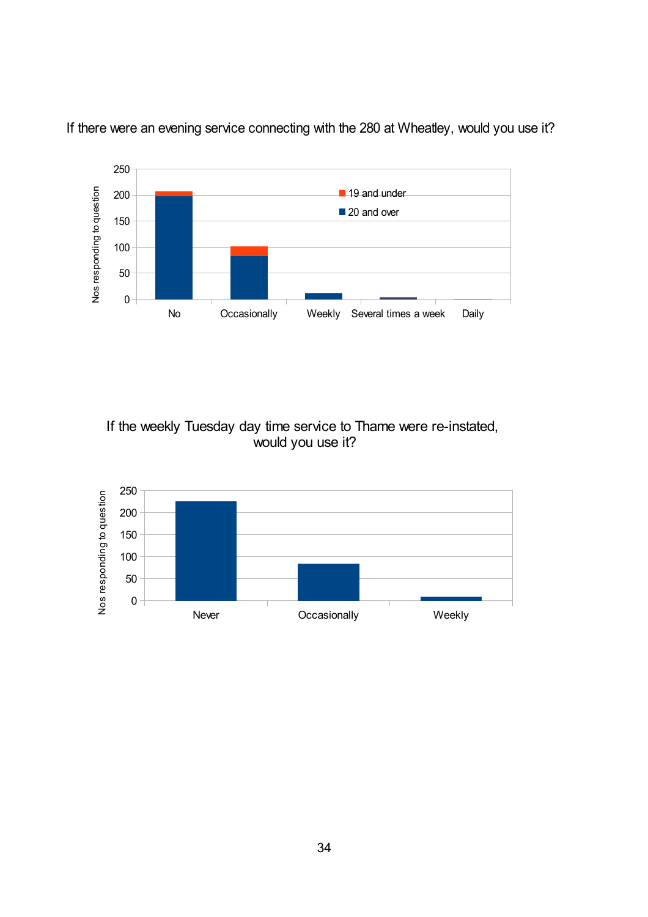

If there were an evening service connecting with the 280 at Wheatley, would you use it?

If the weekly Tuesday day time service to Thame were re-instated, would you use it?

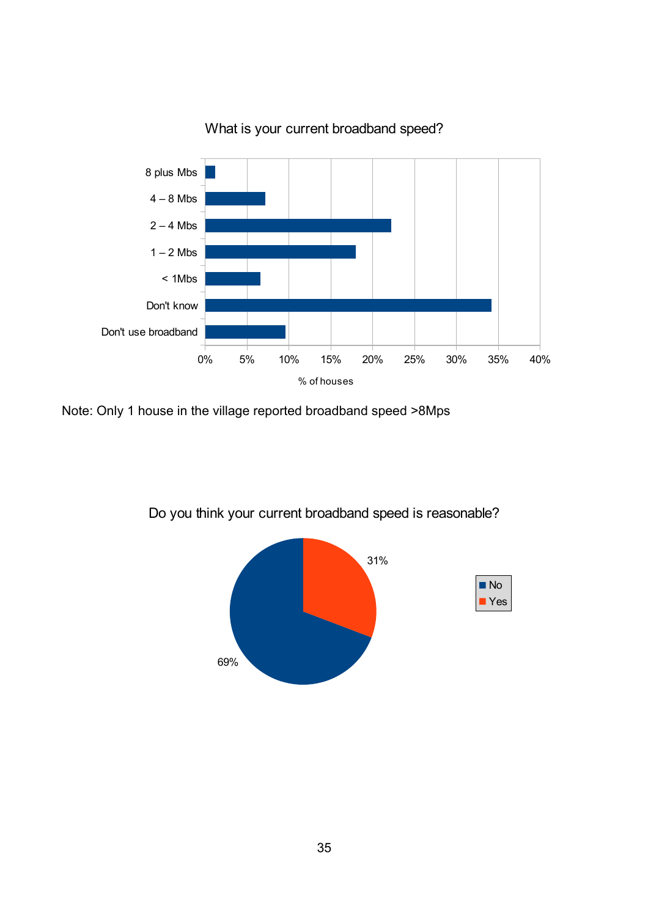

What is your current broadband speed?

Note: Only 1 house in the village reported broadband speed >8Mps



Do you think your current broadband speed is reasonable?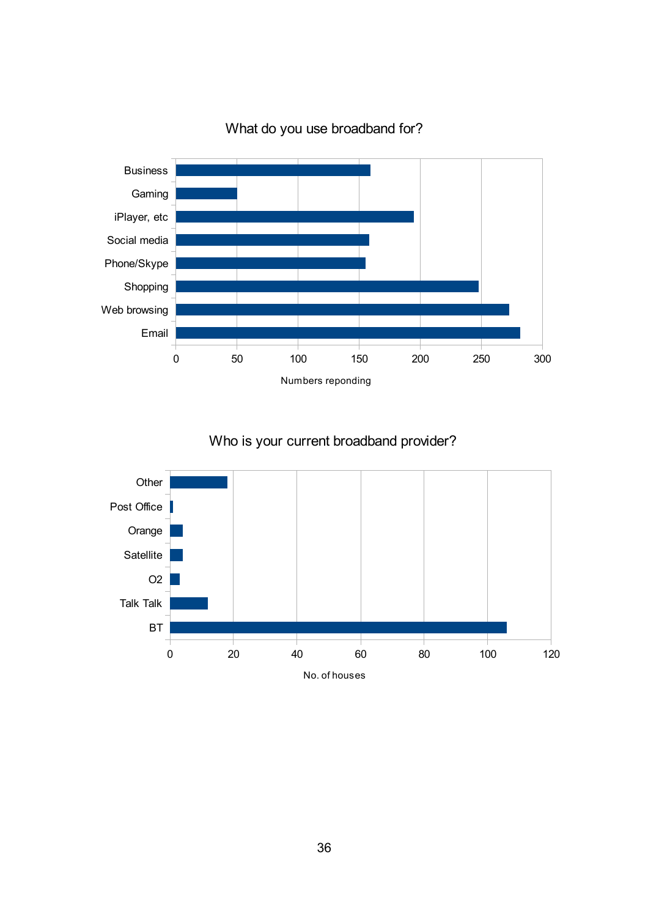

What do you use broadband for?

## Who is your current broadband provider?

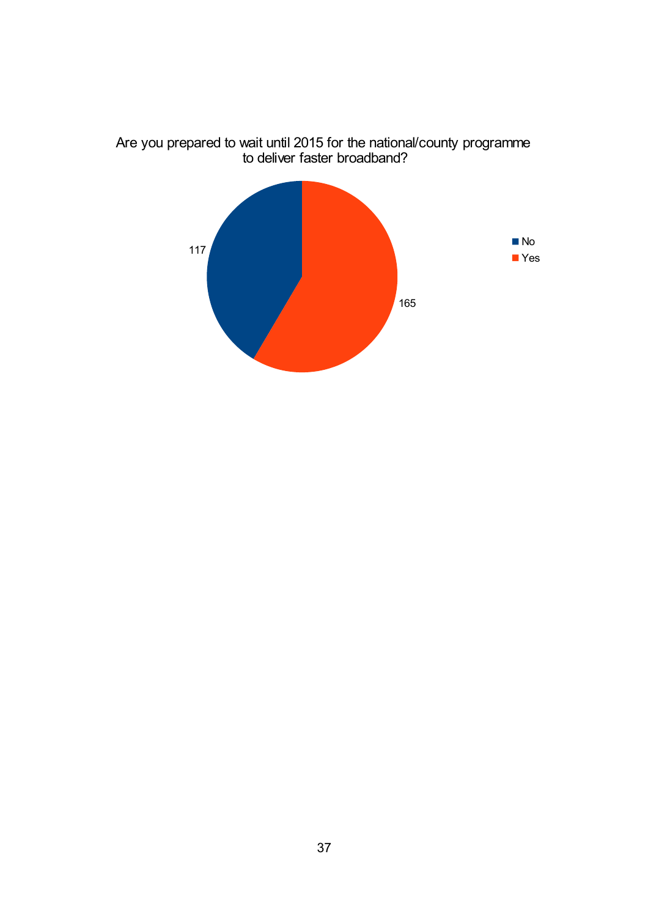

Are you prepared to wait until 2015 for the national/county programme to deliver faster broadband?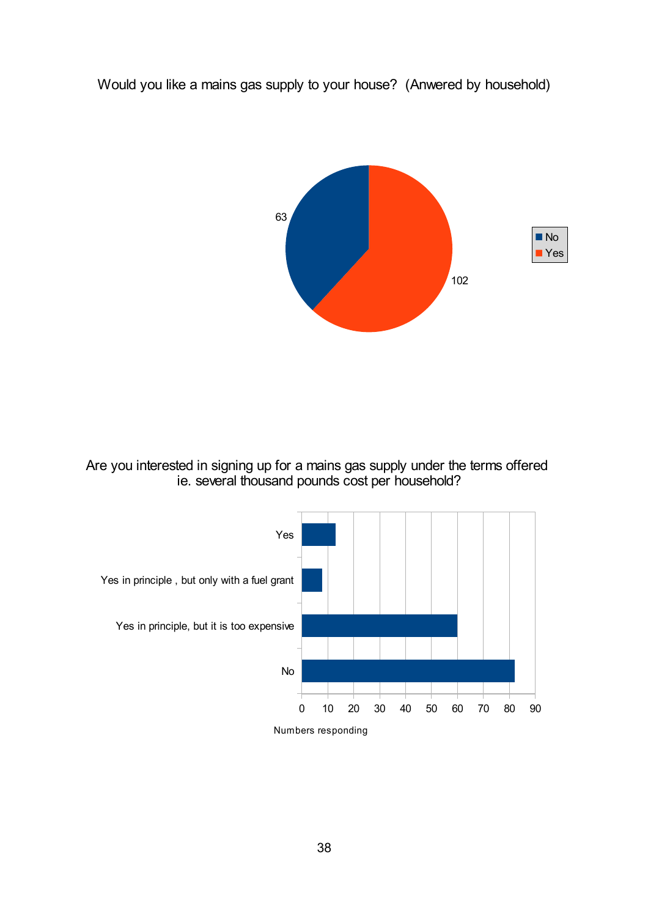Would you like a mains gas supply to your house? (Anwered by household)



Are you interested in signing up for a mains gas supply under the terms offered ie. several thousand pounds cost per household?

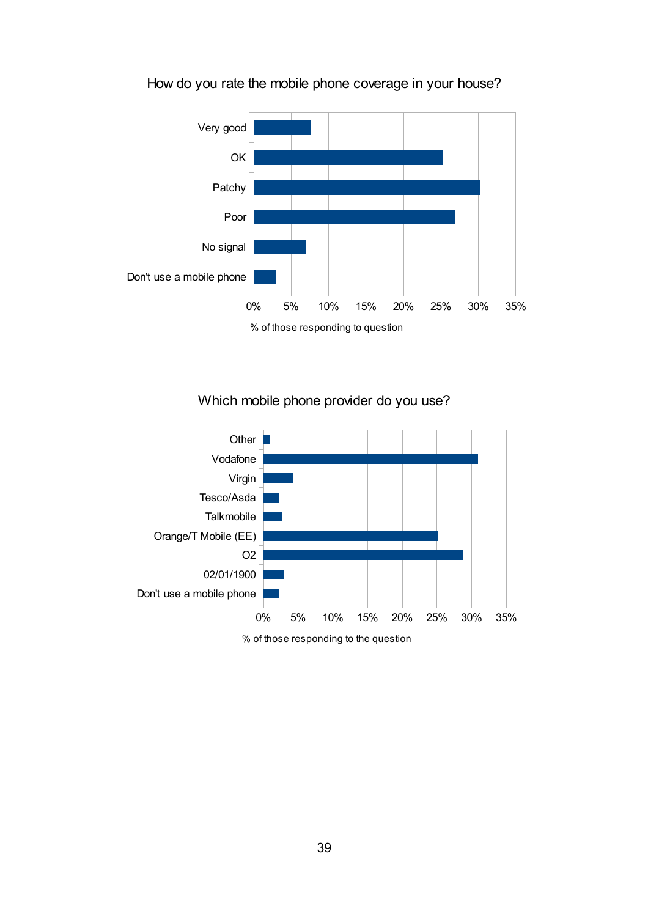

## How do you rate the mobile phone coverage in your house?

Which mobile phone provider do you use?

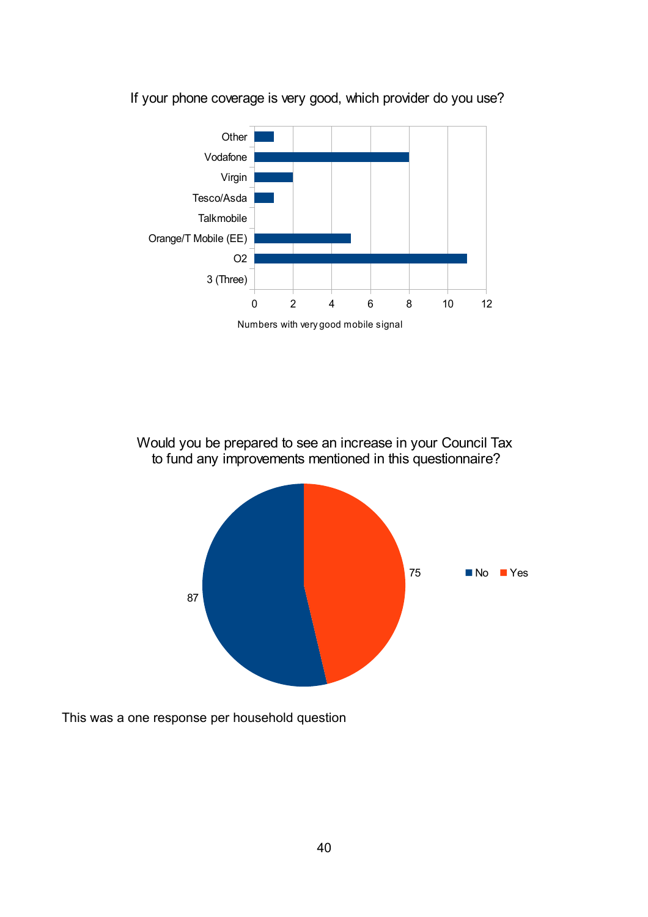

If your phone coverage is very good, which provider do you use?

Would you be prepared to see an increase in your Council Tax to fund any improvements mentioned in this questionnaire?



This was a one response per household question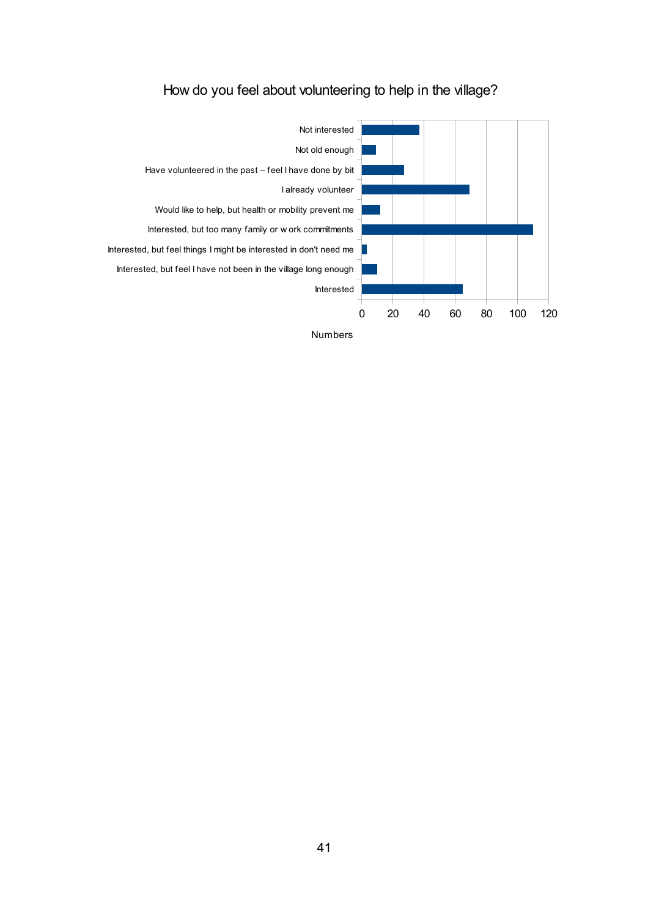

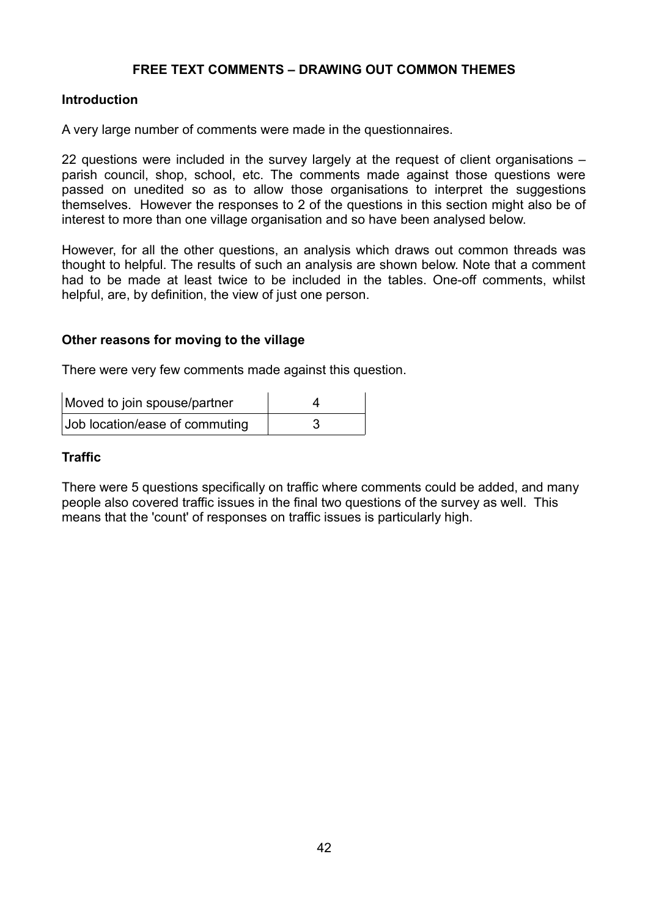#### **FREE TEXT COMMENTS – DRAWING OUT COMMON THEMES**

#### **Introduction**

A very large number of comments were made in the questionnaires.

22 questions were included in the survey largely at the request of client organisations – parish council, shop, school, etc. The comments made against those questions were passed on unedited so as to allow those organisations to interpret the suggestions themselves. However the responses to 2 of the questions in this section might also be of interest to more than one village organisation and so have been analysed below.

However, for all the other questions, an analysis which draws out common threads was thought to helpful. The results of such an analysis are shown below. Note that a comment had to be made at least twice to be included in the tables. One-off comments, whilst helpful, are, by definition, the view of just one person.

#### **Other reasons for moving to the village**

There were very few comments made against this question.

| Moved to join spouse/partner   |  |
|--------------------------------|--|
| Job location/ease of commuting |  |

#### **Traffic**

There were 5 questions specifically on traffic where comments could be added, and many people also covered traffic issues in the final two questions of the survey as well. This means that the 'count' of responses on traffic issues is particularly high.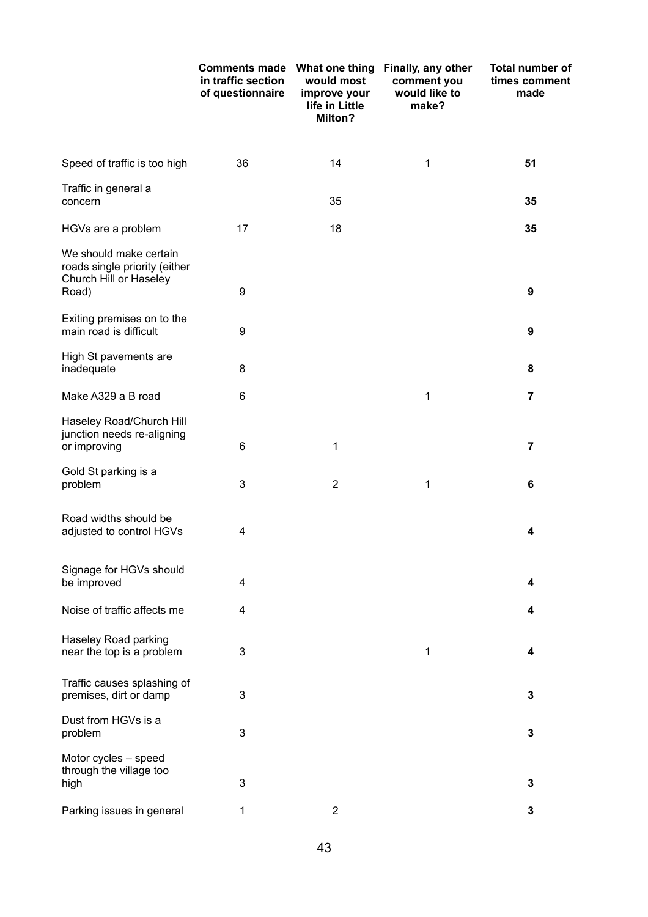|                                                                                            | <b>Comments made</b><br>in traffic section<br>of questionnaire | What one thing<br>would most<br>improve your<br>life in Little<br>Milton? | Finally, any other<br>comment you<br>would like to<br>make? | <b>Total number of</b><br>times comment<br>made |
|--------------------------------------------------------------------------------------------|----------------------------------------------------------------|---------------------------------------------------------------------------|-------------------------------------------------------------|-------------------------------------------------|
| Speed of traffic is too high                                                               | 36                                                             | 14                                                                        | 1                                                           | 51                                              |
| Traffic in general a<br>concern                                                            |                                                                | 35                                                                        |                                                             | 35                                              |
| HGVs are a problem                                                                         | 17                                                             | 18                                                                        |                                                             | 35                                              |
| We should make certain<br>roads single priority (either<br>Church Hill or Haseley<br>Road) | 9                                                              |                                                                           |                                                             | 9                                               |
| Exiting premises on to the<br>main road is difficult                                       | 9                                                              |                                                                           |                                                             | 9                                               |
| High St pavements are<br>inadequate                                                        | 8                                                              |                                                                           |                                                             | 8                                               |
| Make A329 a B road                                                                         | 6                                                              |                                                                           | 1                                                           | $\overline{7}$                                  |
| Haseley Road/Church Hill<br>junction needs re-aligning<br>or improving                     | 6                                                              | 1                                                                         |                                                             | $\overline{7}$                                  |
| Gold St parking is a<br>problem                                                            | 3                                                              | $\overline{2}$                                                            | 1                                                           | 6                                               |
| Road widths should be<br>adjusted to control HGVs                                          | 4                                                              |                                                                           |                                                             | 4                                               |
| Signage for HGVs should<br>be improved                                                     | 4                                                              |                                                                           |                                                             | 4                                               |
| Noise of traffic affects me                                                                | 4                                                              |                                                                           |                                                             | 4                                               |
| Haseley Road parking<br>near the top is a problem                                          | $\ensuremath{\mathsf{3}}$                                      |                                                                           | 1                                                           | 4                                               |
| Traffic causes splashing of<br>premises, dirt or damp                                      | 3                                                              |                                                                           |                                                             | 3                                               |
| Dust from HGVs is a<br>problem                                                             | 3                                                              |                                                                           |                                                             | $\mathbf 3$                                     |
| Motor cycles - speed<br>through the village too<br>high                                    | 3                                                              |                                                                           |                                                             | 3                                               |
| Parking issues in general                                                                  | 1                                                              | $\overline{2}$                                                            |                                                             | 3                                               |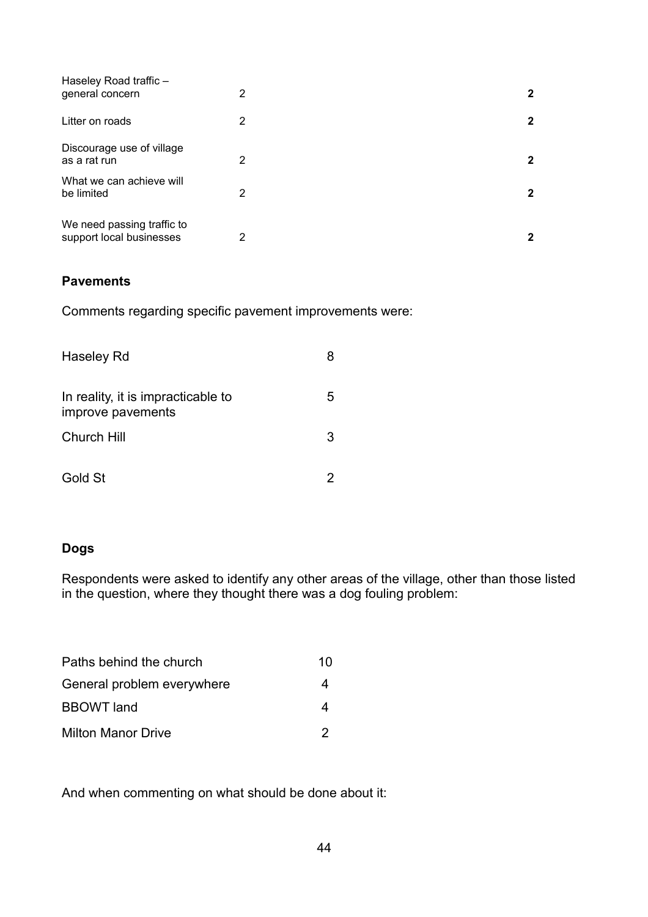| Haseley Road traffic -<br>general concern              | 2 | $\mathbf{2}$ |
|--------------------------------------------------------|---|--------------|
| Litter on roads                                        | 2 | $\mathbf{2}$ |
| Discourage use of village<br>as a rat run              | 2 | $\mathbf{2}$ |
| What we can achieve will<br>be limited                 | 2 | 2            |
| We need passing traffic to<br>support local businesses | 2 | $\mathbf{2}$ |

### **Pavements**

Comments regarding specific pavement improvements were:

| Haseley Rd                                              |   |
|---------------------------------------------------------|---|
| In reality, it is impracticable to<br>improve pavements | 5 |
| <b>Church Hill</b>                                      | 3 |
| Gold St                                                 |   |

### **Dogs**

Respondents were asked to identify any other areas of the village, other than those listed in the question, where they thought there was a dog fouling problem:

| Paths behind the church    | 10 |
|----------------------------|----|
| General problem everywhere | 4  |
| <b>BBOWT</b> land          |    |
| <b>Milton Manor Drive</b>  | 2  |

And when commenting on what should be done about it: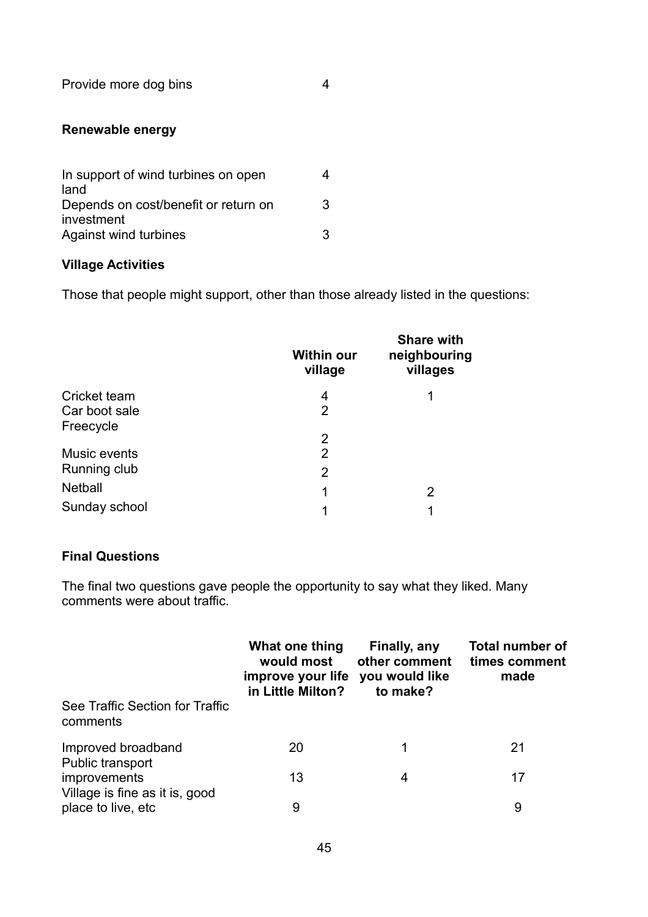Provide more dog bins 4

### **Renewable energy**

| In support of wind turbines on open<br>land |   |
|---------------------------------------------|---|
| Depends on cost/benefit or return on        | 3 |
| investment<br>Against wind turbines         | З |

### **Village Activities**

Those that people might support, other than those already listed in the questions:

|                | <b>Within our</b><br>village | <b>Share with</b><br>neighbouring<br>villages |
|----------------|------------------------------|-----------------------------------------------|
| Cricket team   | 4                            | 1                                             |
| Car boot sale  | 2                            |                                               |
| Freecycle      |                              |                                               |
|                | 2                            |                                               |
| Music events   | 2                            |                                               |
| Running club   | 2                            |                                               |
| <b>Netball</b> | 1                            | 2                                             |
| Sunday school  | 1                            | 1                                             |

### **Final Questions**

The final two questions gave people the opportunity to say what they liked. Many comments were about traffic.

|                                                | What one thing<br>would most<br>improve your life<br>in Little Milton? | Finally, any<br>other comment<br>you would like<br>to make? | <b>Total number of</b><br>times comment<br>made |
|------------------------------------------------|------------------------------------------------------------------------|-------------------------------------------------------------|-------------------------------------------------|
| See Traffic Section for Traffic<br>comments    |                                                                        |                                                             |                                                 |
| Improved broadband<br>Public transport         | 20                                                                     |                                                             | 21                                              |
| improvements<br>Village is fine as it is, good | 13                                                                     | 4                                                           | 17                                              |
| place to live, etc.                            | 9                                                                      |                                                             | 9                                               |